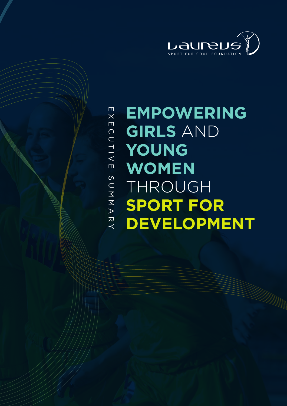

# **EMPOWERING GIRLS** AND **YOUNG WOMEN** THROUGH **SPORT FOR DEVELOPMENT**

 $\overline{E}$  X EXECUTIVE SUMMARY $\blacksquare$ CUTIVE AMMUS ス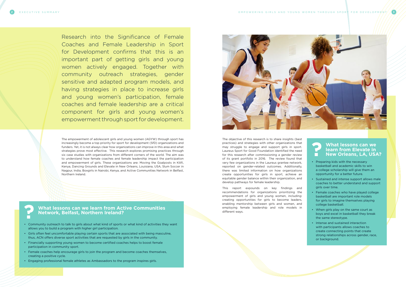Research into the Significance of Female Coaches and Female Leadership in Sport for Development confirms that this is an important part of getting girls and young women actively engaged. Together with community outreach strategies, gender sensitive and adapted program models, and having strategies in place to increase girls and young women's participation, female coaches and female leadership are a critical component for girls and young women's empowerment through sport for development.

The empowerment of adolescent girls and young women (AGYW) through sport has increasingly become a top priority for sport for development (SfD) organizations and funders. Yet, it is not always clear how organizations can improve in this area and what strategies prove most effective. This research explores promising practices through six case studies with organizations from different corners of the world. The aim was to understand how female coaches and female leadership impact the participation and empowerment of girls. These organizations are: Moving the Goalposts in Kilifi, Kenya, Dancing Grounds and Elevate in New Orleans, Louisiana, USA, Slum Soccer in Nagpur, India, Boxgirls in Nairobi, Kenya, and Active Communities Network in Belfast, Northern Ireland.

The objective of this research is to share insights (best practices) and strategies with other organizations that may struggle to engage and support girls in sport. Laureus Sport for Good Foundation identified the need for this research after commissioning a gender review of its grant portfolio in 2016. The review found that very few organizations in the Laureus grantee network, reported on gender-related outcomes. Additionally, there was limited information on how organizations create opportunities for girls in sport, achieve an equitable gender balance within their organization, and develop pathways for female leadership.

This report expounds on key findings and recommendations for organizations prioritizing the empowerment of girls and young women, including: creating opportunities for girls to become leaders, enabling mentorship between girls and women, and employing female leadership and role models in different ways.

#### **What lessons can we learn from Elevate in New Orleans, LA, USA?**

- Preparing kids with the necessary basketball and academic skills to win a college scholarship will give them an opportunity for a better future.
- Sustained and intense support allows male coaches to better understand and support girls over time.
- Female coaches who have played college basketball are important role models for girls to imagine themselves playing college basketball.
- When girls play on the same court as boys and excel in basketball they break the same stereotype.
- Intense and sustained interaction with participants allows coaches to create connecting points that create strong relationships across gender, race, or background.

**?**

**What lessons can we learn from Active Communities Network, Belfast, Northern Ireland?**

- Community outreach to talk to girls about what kind of sports or what kind of activities they want allows you to build a program with higher girl participation.
- Girls often feel uncomfortable playing certain sports that are associated with being masculine, thus, ACN offers diverse sport activities that are requested by girls in the community.
- Financially supporting young women to become certified coaches helps to boost female participation in community sport.
- Female coaches help encourage girls to join the program and become coaches themselves, creating a positive cycle.
- Engaging professional female athletes as Ambassadors to the program inspires girls.



**?**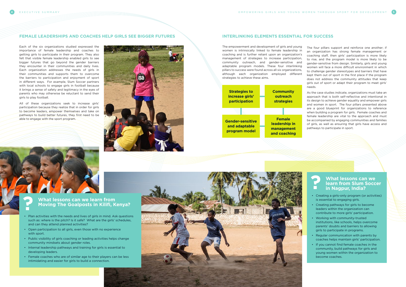The empowerment and development of girls and young women is intrinsically linked to female leadership in coaching and is further reliant upon an organization's management of strategies to increase participation, community outreach, and gender-sensitive and adaptable program models. These four interlinking pillars to success were found across all six organizations, although each organization employed different strategies to achieve these aims.

#### **FEMALE LEADERSHIPS AND COACHES HELP GIRLS SEE BIGGER FUTURES INTERLINKING ELEMENTS ESSENTIAL FOR SUCCESS**

Each of the six organizations studied expressed the importance of female leadership and coaches to getting girls to participate in their program. They also felt that visible female leadership enabled girls to see bigger futures that go beyond the gender barriers they encounter in their communities and daily lives. Each organization addresses the needs of girls in their communities and supports them to overcome the barriers to participation and enjoyment of sport in different ways. For example, Slum Soccer partners with local schools to engage girls in football because it brings a sense of safety and legitimacy in the eyes of parents who may otherwise be reluctant to send their girls to play football.

All of these organizations seek to increase girls' participation because they realize that in order for girls to become leaders, empower themselves and take on pathways to build better futures, they first need to be able to engage with the sport program.



### **What lessons can we learn from Moving The Goalposts in Kilifi, Kenya?**

- Plan activities with the needs and lives of girls in mind. Ask questions such as: where is the pitch? Is it safe? What are the girls' schedules, and can they attend planned activities?
- Open participation to all girls, even those with no experience with sport.
- Public visibility of girls coaching or leading activities helps change community mindsets about gender roles.
- Internal leadership pathways and training for girls is essential to developing leaders.
- Female coaches who are of similar age to their players can be less intimidating and easier for girls to build a connection.





**?**

The four pillars support and reinforce one another; if an organization has strong female management or coaching staff, then girls' participation is more likely to rise, and the program model is more likely to be gender-sensitive from design. Similarly, girls and young women will face a more difficult environment in which to challenge gender stereotypes and barriers that have kept them out of sport in the first place if the program does not address the community attitudes that keep girls out of sport or adapt their program to meet girls' needs.

As the case studies indicate, organizations must take an approach that is both self-reflective and intentional in its design to achieve gender equality and empower girls and women in sport. The four pillars presented above are a good blueprint for organizations to reference when building a program for girls. Female coaches and female leadership are vital to the approach and must be accompanied by engaging communities and families of girls, as well as ensuring that girls have access and pathways to participate in sport.



#### **What lessons can we learn from Slum Soccer in Nagpur, India?**

- Creating a girls-only program (or activities) is essential to engaging girls.
- Creating pathways for girls to become leaders within the organization can contribute to more girls' participation.

- Working with community-trusted institutions, like schools, helps overcome parents' doubts and barriers to allowing girls to participate in programs.
- Regular communication with parents by coaches helps maintain girls' participation.
- If you cannot find female coaches in the community, build pathways for girls and young women within the organization to become coaches.

**?**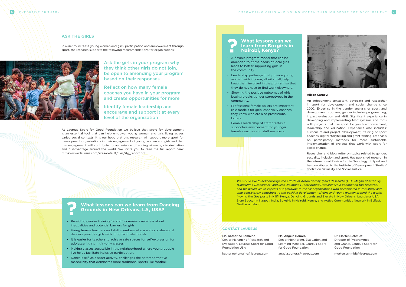#### Ms. Katherine Tomaino,

Senior Manager of Research and Evaluation, Laureus Sport for Good Foundation USA

katherine.tomaino@laureus.com

Ms. Angela Bonora,





Senior Monitoring, Evaluation and Learning Manager, Laureus Sport for Good Foundation

angela.bonora@laureus.com

Dr. Morten Schmidt

Director of Programmes and Grants, Laureus Sport for Good Foundation

morten.schmidt@laureus.com

#### **CONTACT LAUREUS**

#### **Alison Carney:**

An independent consultant, advocate and researcher in sport for development and social change since 2002. Expertise in the gender analysis of sport and development programs, gender inclusive programming, impact evaluation and M&E. Significant experience in developing and implementing M&E systems and tools with projects that use sport for youth empowerment, leadership and education. Experience also includes: curriculum and project development, training of sport coaches, digital storytelling and grant-writing. Emphasis on participatory methods for more sustainable implementation of projects that work with sport for social change.

Researcher and blog writer on topics related to gender, sexuality, inclusion and sport. Has published research in the International Review for the Sociology of Sport and has contributed to the Institute of Development Studies' Toolkit on Sexuality and Social Justice.

*We would like to acknowledge the efforts of Alison Carney (Lead Researcher), Dr. Megan Chewansky (Consulting Researcher) and Jess DiSimone (Contributing Researcher) in conducting this research,*  and we would like to express our gratitude to the six organizations who participated in this study and *who consistently contribute to the positive development of girls and young women around the world:*  Moving the Goalposts in Kilifi, Kenya, Dancing Grounds and Elevate in New Orleans, Louisiana, USA, Slum Soccer in Nagpur, India, Boxgirls in Nairobi, Kenya, and Active Communities Network in Belfast, Northern Ireland.

#### **ASK THE GIRLS**

In order to increase young women and girls' participation and empowerment through sport, the research supports the following recommendations for organizations:



At Laureus Sport for Good Foundation we believe that sport for development is an essential tool that can help empower young women and girls living across varied social contexts. It is our hope that this research will support more sport for development organizations in their engagement of young women and girls and that this engagement will contribute to our mission of ending violence, discrimination and disadvantage around the world. We invite you to read the full report here: https://www.laureus.com/sites/default/files/sfg\_report.pdf

Ask the girls in your program why they think other girls do not join, be open to amending your program based on their responses

Reflect on how many female coaches you have in your program and create opportunities for more

Identify female leadership and encourage and support it at every level of the organization

#### **What lessons can we learn from Boxgirls in Nairobi, Kenya? ?**

- A flexible program model that can be amended to fit the needs of local girls leads to better supporting girls in the community.
- Leadership pathways that provide young women with income, albeit small, help keep them involved in the program so that they do not have to find work elsewhere.
- Showing the positive outcomes of girls' boxing breaks gender stereotypes in the community.
- Professional female boxers are important role models for girls, especially coaches they know who are also professional boxers.
- Female leadership of staff creates a supportive environment for younger female coaches and staff members.

## **What lessons can we learn from Dancing Grounds in New Orleans, LA, USA? ?**

- Providing gender training for staff increases awareness about inequalities and potential barriers for girls.
- Hiring female teachers and staff members who are also professional dancers provides girls with important role models.
- It is easier for teachers to achieve safe spaces for self-expression for adolescent girls in girl-only classes.
- Making classes accessible in the neighborhood where young people live helps facilitate inclusive participation.
- Dance itself, as a sport activity, challenges the heteronormative masculinity that dominates more traditional sports like football.